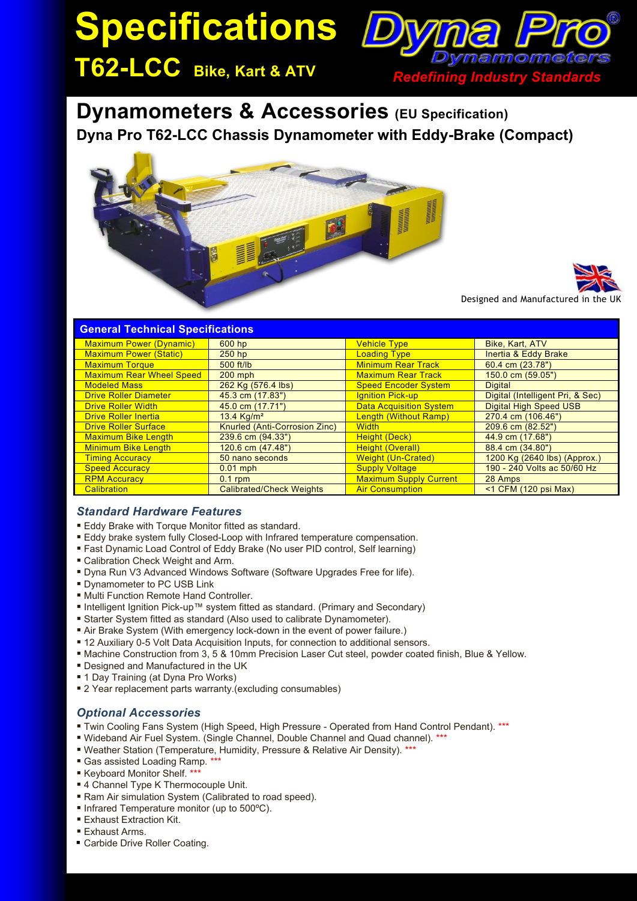# **Specifications**



**T62-LCC Bike, Kart & ATV** *Redefining Industry Standards*

# **Dynamometers & Accessories (EU Specification) Dyna Pro T62-LCC Chassis Dynamometer with Eddy-Brake (Compact)**





Designed and Manufactured in

| <b>General Technical Specifications</b> |                                 |                                |                                  |
|-----------------------------------------|---------------------------------|--------------------------------|----------------------------------|
| <b>Maximum Power (Dynamic)</b>          | 600 hp                          | <b>Vehicle Type</b>            | Bike, Kart, ATV                  |
| <b>Maximum Power (Static)</b>           | $250$ hp                        | <b>Loading Type</b>            | <b>Inertia &amp; Eddy Brake</b>  |
| <b>Maximum Torque</b>                   | $500$ ft/lb                     | <b>Minimum Rear Track</b>      | 60.4 cm $(23.78")$               |
| <b>Maximum Rear Wheel Speed</b>         | $200$ mph                       | <b>Maximum Rear Track</b>      | 150.0 cm (59.05")                |
| <b>Modeled Mass</b>                     | 262 Kg (576.4 lbs)              | <b>Speed Encoder System</b>    | <b>Digital</b>                   |
| <b>Drive Roller Diameter</b>            | 45.3 cm (17.83")                | <b>Ignition Pick-up</b>        | Digital (Intelligent Pri, & Sec) |
| <b>Drive Roller Width</b>               | 45.0 cm (17.71")                | <b>Data Acquisition System</b> | <b>Digital High Speed USB</b>    |
| <b>Drive Roller Inertia</b>             | 13.4 $Kg/m^2$                   | Length (Without Ramp)          | 270.4 cm (106.46")               |
| <b>Drive Roller Surface</b>             | Knurled (Anti-Corrosion Zinc)   | <b>Width</b>                   | 209.6 cm (82.52")                |
| <b>Maximum Bike Length</b>              | 239.6 cm (94.33")               | Height (Deck)                  | 44.9 cm (17.68")                 |
| <b>Minimum Bike Length</b>              | $120.6$ cm $(47.48")$           | <b>Height (Overall)</b>        | 88.4 cm (34.80")                 |
| <b>Timing Accuracy</b>                  | 50 nano seconds                 | <b>Weight (Un-Crated)</b>      | 1200 Kg (2640 lbs) (Approx.)     |
| <b>Speed Accuracy</b>                   | $0.01$ mph                      | <b>Supply Voltage</b>          | 190 - 240 Volts ac 50/60 Hz      |
| <b>RPM Accuracy</b>                     | $0.1$ rpm                       | <b>Maximum Supply Current</b>  | 28 Amps                          |
| Calibration                             | <b>Calibrated/Check Weights</b> | <b>Air Consumption</b>         | $<$ 1 CFM (120 psi Max)          |

#### *Standard Hardware Features*

- **Eddy Brake with Torque Monitor fitted as standard.**
- Eddy brake system fully Closed-Loop with Infrared temperature compensation.
- Fast Dynamic Load Control of Eddy Brake (No user PID control, Self learning)
- Calibration Check Weight and Arm.
- Dyna Run V3 Advanced Windows Software (Software Upgrades Free for life).
- **Dynamometer to PC USB Link**
- Multi Function Remote Hand Controller.
- Intelligent Ignition Pick-up™ system fitted as standard. (Primary and Secondary)
- **Starter System fitted as standard (Also used to calibrate Dynamometer).**
- Air Brake System (With emergency lock-down in the event of power failure.)
- 12 Auxiliary 0-5 Volt Data Acquisition Inputs, for connection to additional sensors.
- Machine Construction from 3, 5 & 10mm Precision Laser Cut steel, powder coated finish, Blue & Yellow.
- **Designed and Manufactured in the UK**
- 1 Day Training (at Dyna Pro Works)
- **2** Year replacement parts warranty.(excluding consumables)

#### *Optional Accessories*

- Twin Cooling Fans System (High Speed, High Pressure Operated from Hand Control Pendant). \*\*\*
- Wideband Air Fuel System. (Single Channel, Double Channel and Quad channel). \*\*\*
- Weather Station (Temperature, Humidity, Pressure & Relative Air Density). \*\*\*
- Gas assisted Loading Ramp. \*\*\*
- Keyboard Monitor Shelf. \*\*\*
- 4 Channel Type K Thermocouple Unit.
- Ram Air simulation System (Calibrated to road speed).
- Infrared Temperature monitor (up to 500°C).
- **Exhaust Extraction Kit.**
- Exhaust Arms.
- Carbide Drive Roller Coating.